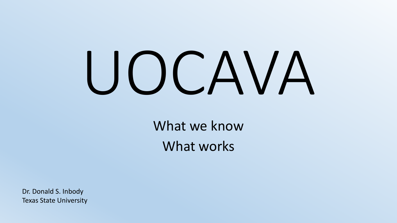# UOCAVA

What we know What works

Dr. Donald S. Inbody Texas State University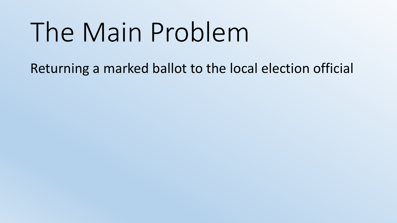# The Main Problem

Returning a marked ballot to the local election official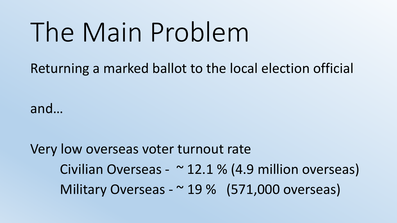# The Main Problem

Returning a marked ballot to the local election official

and…

Very low overseas voter turnout rate Civilian Overseas -  $\sim$  12.1 % (4.9 million overseas) Military Overseas - ~ 19 % (571,000 overseas)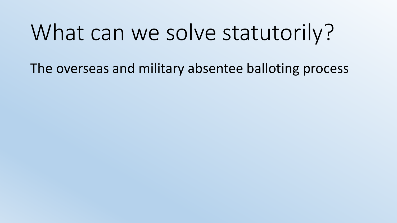#### What can we solve statutorily?

The overseas and military absentee balloting process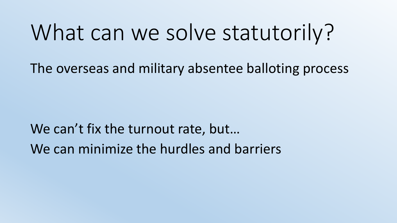#### What can we solve statutorily?

The overseas and military absentee balloting process

We can't fix the turnout rate, but... We can minimize the hurdles and barriers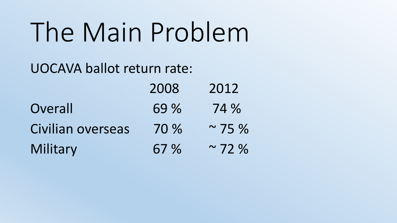# The Main Problem

#### UOCAVA ballot return rate:

|                   | 2008 | 2012        |
|-------------------|------|-------------|
| Overall           | 69 % | 74 %        |
| Civilian overseas | 70 % | $\sim$ 75 % |
| Military          | 67 % | $\sim$ 72 % |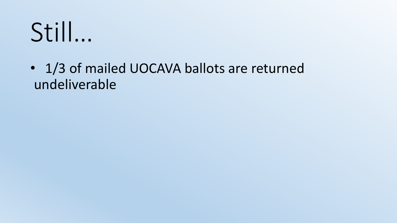#### • 1/3 of mailed UOCAVA ballots are returned undeliverable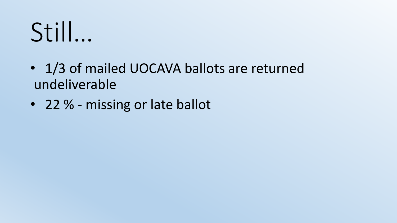- 1/3 of mailed UOCAVA ballots are returned undeliverable
- 22 % missing or late ballot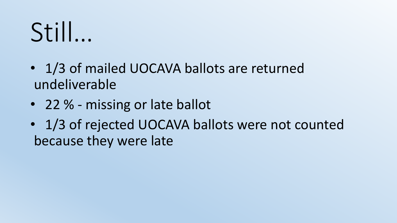- 1/3 of mailed UOCAVA ballots are returned undeliverable
- 22 % missing or late ballot
- 1/3 of rejected UOCAVA ballots were not counted because they were late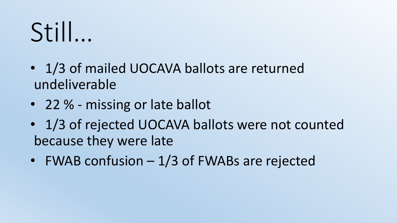- 1/3 of mailed UOCAVA ballots are returned undeliverable
- 22 % missing or late ballot
- 1/3 of rejected UOCAVA ballots were not counted because they were late
- FWAB confusion 1/3 of FWABs are rejected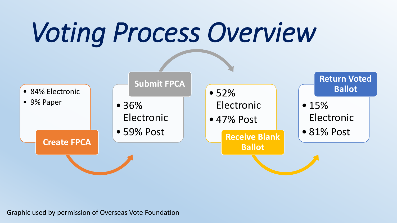# *Voting Process Overview*



Graphic used by permission of Overseas Vote Foundation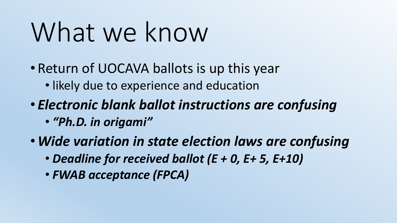# What we know

- Return of UOCAVA ballots is up this year
	- likely due to experience and education
- *Electronic blank ballot instructions are confusing*
	- *"Ph.D. in origami"*
- •*Wide variation in state election laws are confusing*
	- *Deadline for received ballot (E + 0, E+ 5, E+10)*
	- *FWAB acceptance (FPCA)*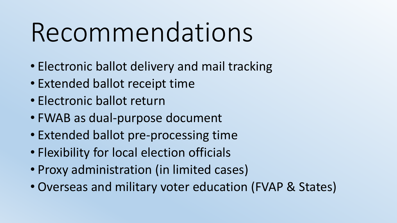## Recommendations

- Electronic ballot delivery and mail tracking
- Extended ballot receipt time
- Electronic ballot return
- FWAB as dual-purpose document
- Extended ballot pre-processing time
- Flexibility for local election officials
- Proxy administration (in limited cases)
- Overseas and military voter education (FVAP & States)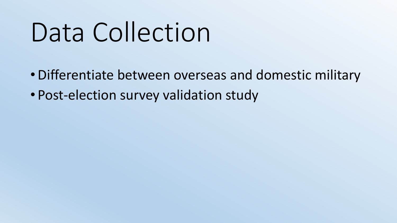## Data Collection

- •Differentiate between overseas and domestic military
- Post-election survey validation study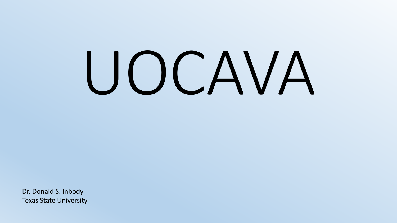# UOCAVA

Dr. Donald S. Inbody Texas State University